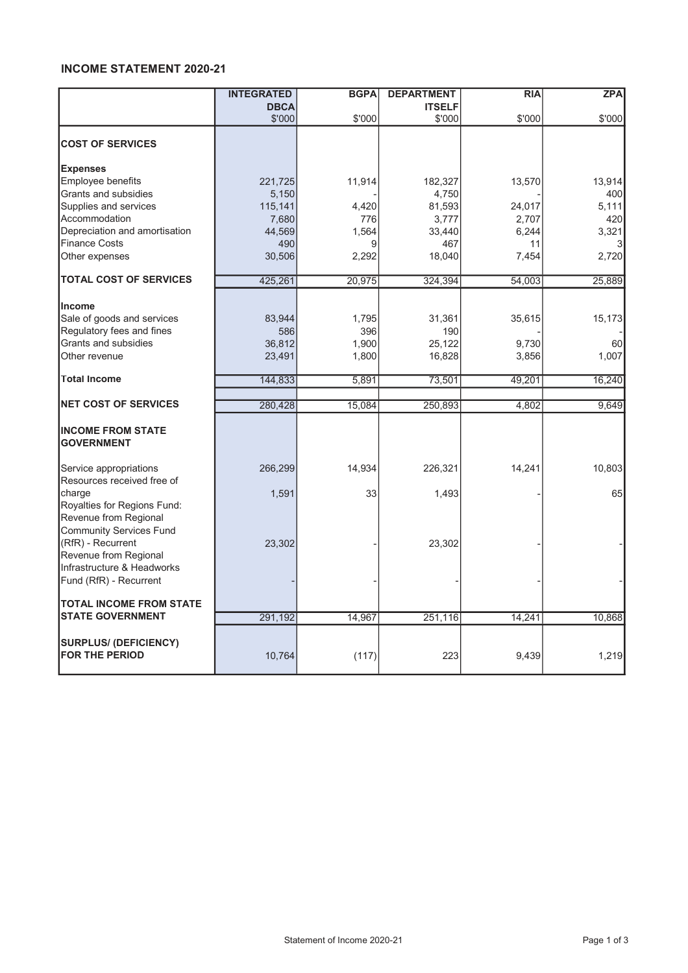## INCOME STATEMENT 2020-21

|                                                                              | <b>INTEGRATED</b> | <b>BGPA</b> | <b>DEPARTMENT</b> | <b>RIA</b> | <b>ZPA</b> |
|------------------------------------------------------------------------------|-------------------|-------------|-------------------|------------|------------|
|                                                                              | <b>DBCA</b>       |             | <b>ITSELF</b>     |            |            |
|                                                                              | \$'000            | \$'000      | \$'000            | \$'000     | \$'000     |
| <b>COST OF SERVICES</b>                                                      |                   |             |                   |            |            |
| <b>Expenses</b>                                                              |                   |             |                   |            |            |
| Employee benefits                                                            | 221,725           | 11,914      | 182,327           | 13,570     | 13,914     |
| Grants and subsidies                                                         | 5,150             |             | 4,750             |            | 400        |
| Supplies and services                                                        | 115,141           | 4,420       | 81,593            | 24,017     | 5,111      |
| Accommodation                                                                | 7,680             | 776         | 3,777             | 2,707      | 420        |
| Depreciation and amortisation                                                | 44,569            | 1,564       | 33,440            | 6,244      | 3,321      |
| <b>Finance Costs</b>                                                         | 490               | 9           | 467               | 11         |            |
| Other expenses                                                               | 30,506            | 2,292       | 18,040            | 7,454      | 2,720      |
| <b>TOTAL COST OF SERVICES</b>                                                | 425,261           | 20,975      | 324,394           | 54,003     | 25,889     |
| <b>Income</b>                                                                |                   |             |                   |            |            |
| Sale of goods and services                                                   | 83,944            | 1.795       |                   |            |            |
| Regulatory fees and fines                                                    |                   |             | 31,361            | 35,615     | 15,173     |
| Grants and subsidies                                                         | 586               | 396         | 190               |            | 60         |
| Other revenue                                                                | 36,812            | 1,900       | 25,122            | 9,730      |            |
|                                                                              | 23,491            | 1,800       | 16,828            | 3,856      | 1,007      |
| <b>Total Income</b>                                                          | 144,833           | 5,891       | 73,501            | 49,201     | 16,240     |
| <b>NET COST OF SERVICES</b>                                                  | 280,428           | 15,084      | 250,893           | 4,802      | 9,649      |
|                                                                              |                   |             |                   |            |            |
| <b>INCOME FROM STATE</b><br><b>GOVERNMENT</b>                                |                   |             |                   |            |            |
| Service appropriations<br>Resources received free of                         | 266,299           | 14,934      | 226,321           | 14,241     | 10,803     |
| charge<br>Royalties for Regions Fund:<br>Revenue from Regional               | 1,591             | 33          | 1,493             |            | 65         |
| <b>Community Services Fund</b><br>(RfR) - Recurrent<br>Revenue from Regional | 23,302            |             | 23,302            |            |            |
| Infrastructure & Headworks<br>Fund (RfR) - Recurrent                         |                   |             |                   |            |            |
| <b>TOTAL INCOME FROM STATE</b>                                               |                   |             |                   |            |            |
| <b>STATE GOVERNMENT</b>                                                      | 291,192           | 14,967      | 251,116           | 14,241     | 10,868     |
| <b>SURPLUS/ (DEFICIENCY)</b><br><b>FOR THE PERIOD</b>                        | 10,764            | (117)       | 223               | 9,439      | 1,219      |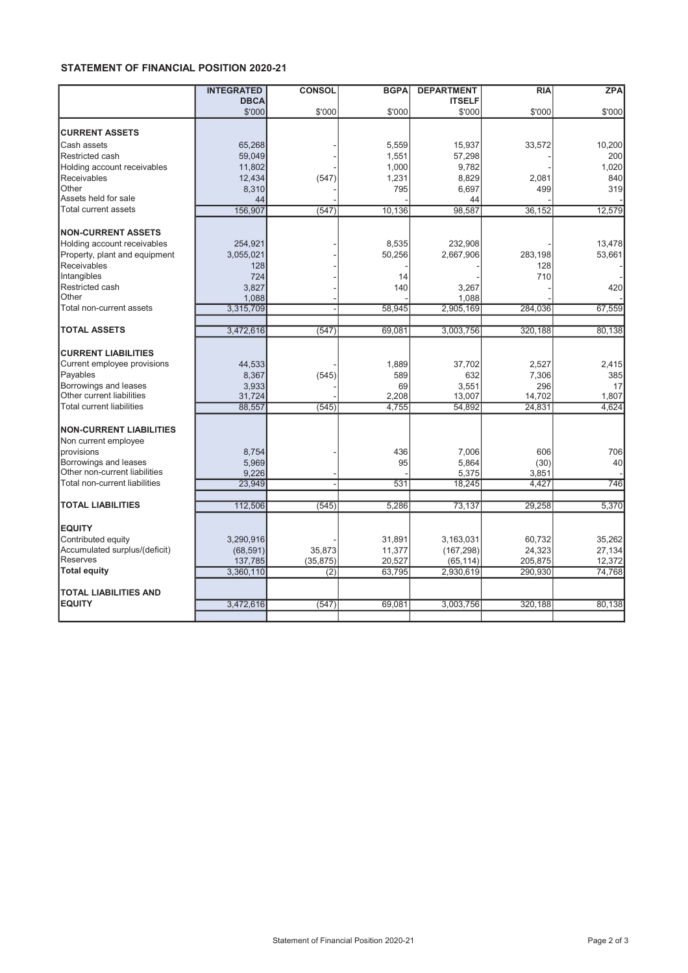## STATEMENT OF FINANCIAL POSITION 2020-21

|                                  | <b>INTEGRATED</b> | <b>CONSOL</b> | <b>BGPA</b> | <b>DEPARTMENT</b> | <b>RIA</b> | <b>ZPA</b> |
|----------------------------------|-------------------|---------------|-------------|-------------------|------------|------------|
|                                  | <b>DBCA</b>       |               |             | <b>ITSELF</b>     |            |            |
|                                  | \$'000            | \$'000        | \$'000      | \$'000            | \$'000     | \$'000     |
| <b>CURRENT ASSETS</b>            |                   |               |             |                   |            |            |
| Cash assets                      | 65,268            |               | 5,559       | 15,937            | 33,572     | 10,200     |
| Restricted cash                  | 59,049            |               | 1,551       | 57,298            |            | 200        |
| Holding account receivables      | 11,802            |               | 1,000       | 9,782             |            | 1,020      |
| Receivables                      | 12,434            | (547)         | 1,231       | 8,829             | 2,081      | 840        |
| Other                            | 8,310             |               | 795         | 6,697             | 499        | 319        |
| Assets held for sale             | 44                |               |             | 44                |            |            |
| Total current assets             | 156,907           | (547)         | 10,136      | 98,587            | 36,152     | 12,579     |
|                                  |                   |               |             |                   |            |            |
| <b>NON-CURRENT ASSETS</b>        |                   |               |             |                   |            |            |
| Holding account receivables      | 254,921           |               | 8,535       | 232,908           |            | 13,478     |
| Property, plant and equipment    | 3,055,021         |               | 50,256      | 2,667,906         | 283.198    | 53,661     |
| Receivables                      | 128               |               |             |                   | 128        |            |
| Intangibles                      | 724               |               | 14          |                   | 710        |            |
| Restricted cash                  | 3,827             |               | 140         | 3,267             |            | 420        |
| Other                            | 1,088             |               |             | 1,088             |            |            |
| Total non-current assets         | 3,315,709         |               | 58,945      | 2,905,169         | 284,036    | 67,559     |
| <b>TOTAL ASSETS</b>              | 3,472,616         | (547)         | 69,081      | 3,003,756         | 320,188    | 80,138     |
|                                  |                   |               |             |                   |            |            |
| <b>CURRENT LIABILITIES</b>       |                   |               |             |                   |            |            |
| Current employee provisions      | 44,533            |               | 1.889       | 37,702            | 2,527      | 2,415      |
| Payables                         | 8,367             | (545)         | 589         | 632               | 7,306      | 385        |
| Borrowings and leases            | 3,933             |               | 69          | 3,551             | 296        | 17         |
| Other current liabilities        | 31,724            |               | 2,208       | 13,007            | 14,702     | 1,807      |
| <b>Total current liabilities</b> | 88,557            | (545)         | 4,755       | 54,892            | 24,831     | 4,624      |
|                                  |                   |               |             |                   |            |            |
| <b>NON-CURRENT LIABILITIES</b>   |                   |               |             |                   |            |            |
| Non current employee             |                   |               |             |                   |            |            |
| provisions                       | 8,754             |               | 436         | 7,006             | 606        | 706        |
| Borrowings and leases            | 5,969             |               | 95          | 5,864             | (30)       | 40         |
| Other non-current liabilities    | 9.226             |               |             | 5,375             | 3,851      |            |
| Total non-current liabilities    | 23,949            |               | 531         | 18,245            | 4.427      | 746        |
| <b>TOTAL LIABILITIES</b>         | 112,506           | (545)         | 5,286       | 73,137            | 29,258     | 5,370      |
|                                  |                   |               |             |                   |            |            |
| <b>EQUITY</b>                    |                   |               |             |                   |            |            |
| Contributed equity               | 3,290,916         |               | 31,891      | 3,163,031         | 60,732     | 35,262     |
| Accumulated surplus/(deficit)    | (68, 591)         | 35,873        | 11,377      | (167, 298)        | 24,323     | 27,134     |
| <b>Reserves</b>                  | 137,785           | (35, 875)     | 20,527      | (65, 114)         | 205,875    | 12,372     |
| <b>Total equity</b>              | 3,360,110         | (2)           | 63,795      | 2,930,619         | 290,930    | 74,768     |
|                                  |                   |               |             |                   |            |            |
| <b>TOTAL LIABILITIES AND</b>     |                   |               |             |                   |            |            |
| <b>EQUITY</b>                    | 3.472.616         | (547)         | 69.081      | 3,003,756         | 320.188    | 80.138     |
|                                  |                   |               |             |                   |            |            |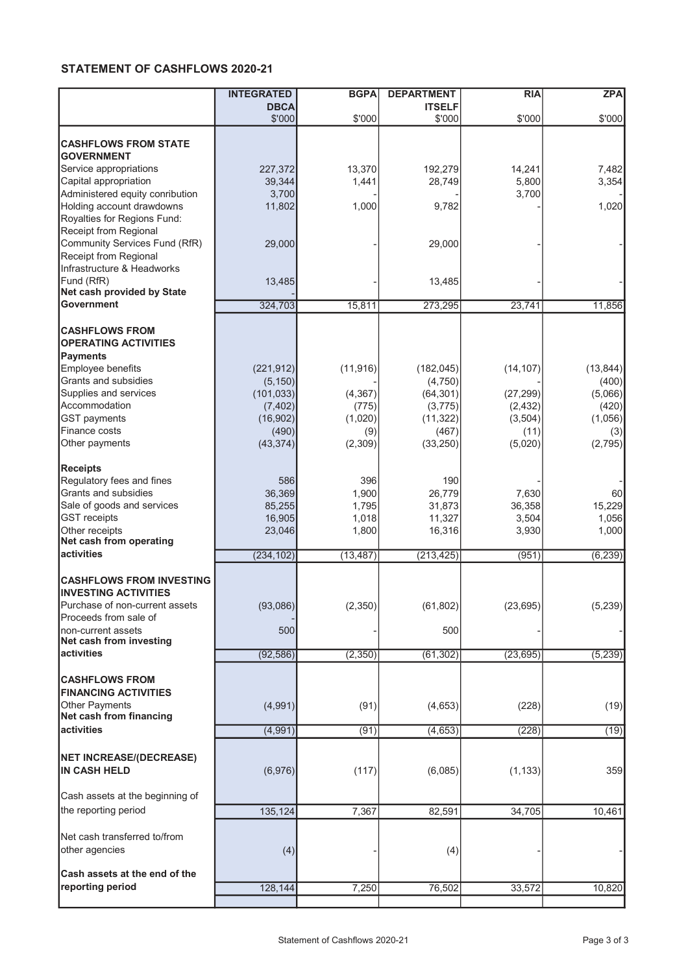## STATEMENT OF CASHFLOWS 2020-21

|                                                      | <b>INTEGRATED</b> | <b>BGPA</b> | <b>DEPARTMENT</b> | <b>RIA</b> | <b>ZPA</b>     |
|------------------------------------------------------|-------------------|-------------|-------------------|------------|----------------|
|                                                      | <b>DBCA</b>       |             | <b>ITSELF</b>     |            |                |
|                                                      | \$'000            | \$'000      | \$'000            | \$'000     | \$'000         |
|                                                      |                   |             |                   |            |                |
| <b>CASHFLOWS FROM STATE</b>                          |                   |             |                   |            |                |
| <b>GOVERNMENT</b>                                    |                   |             |                   |            |                |
| Service appropriations                               | 227,372           | 13,370      | 192,279           | 14,241     | 7,482          |
| Capital appropriation                                | 39,344            | 1,441       | 28,749            | 5,800      | 3,354          |
| Administered equity conribution                      | 3,700             |             |                   | 3,700      |                |
| Holding account drawdowns                            | 11,802            | 1,000       | 9,782             |            | 1,020          |
| Royalties for Regions Fund:                          |                   |             |                   |            |                |
| Receipt from Regional                                |                   |             |                   |            |                |
| Community Services Fund (RfR)                        | 29,000            |             | 29,000            |            |                |
| Receipt from Regional                                |                   |             |                   |            |                |
| Infrastructure & Headworks                           |                   |             |                   |            |                |
| Fund (RfR)                                           | 13,485            |             | 13,485            |            |                |
| Net cash provided by State                           |                   |             |                   |            |                |
| <b>Government</b>                                    | 324,703           | 15,811      | 273,295           | 23,741     | 11,856         |
|                                                      |                   |             |                   |            |                |
| <b>CASHFLOWS FROM</b>                                |                   |             |                   |            |                |
| <b>OPERATING ACTIVITIES</b>                          |                   |             |                   |            |                |
| Payments                                             |                   |             |                   |            |                |
| Employee benefits                                    | (221, 912)        | (11, 916)   | (182, 045)        | (14, 107)  | (13, 844)      |
| Grants and subsidies                                 | (5, 150)          |             | (4,750)           |            | (400)          |
| Supplies and services                                | (101, 033)        | (4, 367)    | (64, 301)         | (27, 299)  | (5,066)        |
| Accommodation                                        | (7, 402)          | (775)       | (3,775)           | (2, 432)   | (420)          |
| <b>GST</b> payments                                  | (16, 902)         | (1,020)     | (11, 322)         | (3, 504)   | (1,056)        |
| Finance costs                                        | (490)             | (9)         | (467)             | (11)       |                |
| Other payments                                       | (43, 374)         | (2,309)     | (33, 250)         | (5,020)    | (3)<br>(2,795) |
|                                                      |                   |             |                   |            |                |
| <b>Receipts</b>                                      |                   |             |                   |            |                |
| Regulatory fees and fines                            | 586               | 396         | 190               |            |                |
| Grants and subsidies                                 | 36,369            | 1,900       | 26,779            | 7,630      | 60             |
| Sale of goods and services                           | 85,255            | 1,795       | 31,873            | 36,358     | 15,229         |
| <b>GST</b> receipts                                  |                   |             |                   |            |                |
|                                                      | 16,905            | 1,018       | 11,327            | 3,504      | 1,056          |
| Other receipts<br>Net cash from operating            | 23,046            | 1,800       | 16,316            | 3,930      | 1,000          |
| activities                                           | (234, 102)        | (13, 487)   | (213, 425)        | (951)      | (6, 239)       |
|                                                      |                   |             |                   |            |                |
| <b>CASHFLOWS FROM INVESTING</b>                      |                   |             |                   |            |                |
| <b>INVESTING ACTIVITIES</b>                          |                   |             |                   |            |                |
|                                                      |                   |             |                   |            |                |
| Purchase of non-current assets                       | (93,086)          | (2, 350)    | (61, 802)         | (23, 695)  | (5, 239)       |
| Proceeds from sale of                                |                   |             |                   |            |                |
| non-current assets<br>Net cash from investing        | 500               |             | 500               |            |                |
| activities                                           |                   |             |                   |            |                |
|                                                      | (92, 586)         | (2,350)     | (61, 302)         | (23, 695)  | (5, 239)       |
|                                                      |                   |             |                   |            |                |
| <b>CASHFLOWS FROM</b><br><b>FINANCING ACTIVITIES</b> |                   |             |                   |            |                |
|                                                      |                   |             |                   |            |                |
| Other Payments<br>Net cash from financing            | (4,991)           | (91)        | (4,653)           | (228)      | (19)           |
|                                                      |                   |             |                   |            |                |
| activities                                           | (4,991)           | (91)        | (4,653)           | (228)      | (19)           |
|                                                      |                   |             |                   |            |                |
| <b>NET INCREASE/(DECREASE)</b>                       |                   |             |                   |            |                |
| <b>IN CASH HELD</b>                                  | (6,976)           | (117)       | (6,085)           | (1, 133)   | 359            |
|                                                      |                   |             |                   |            |                |
| Cash assets at the beginning of                      |                   |             |                   |            |                |
| the reporting period                                 | 135,124           | 7,367       | 82,591            | 34,705     | 10,461         |
|                                                      |                   |             |                   |            |                |
| Net cash transferred to/from                         |                   |             |                   |            |                |
| other agencies                                       | (4)               |             | (4)               |            |                |
|                                                      |                   |             |                   |            |                |
| Cash assets at the end of the                        |                   |             |                   |            |                |
| reporting period                                     | 128,144           | 7,250       | 76,502            | 33,572     | 10,820         |
|                                                      |                   |             |                   |            |                |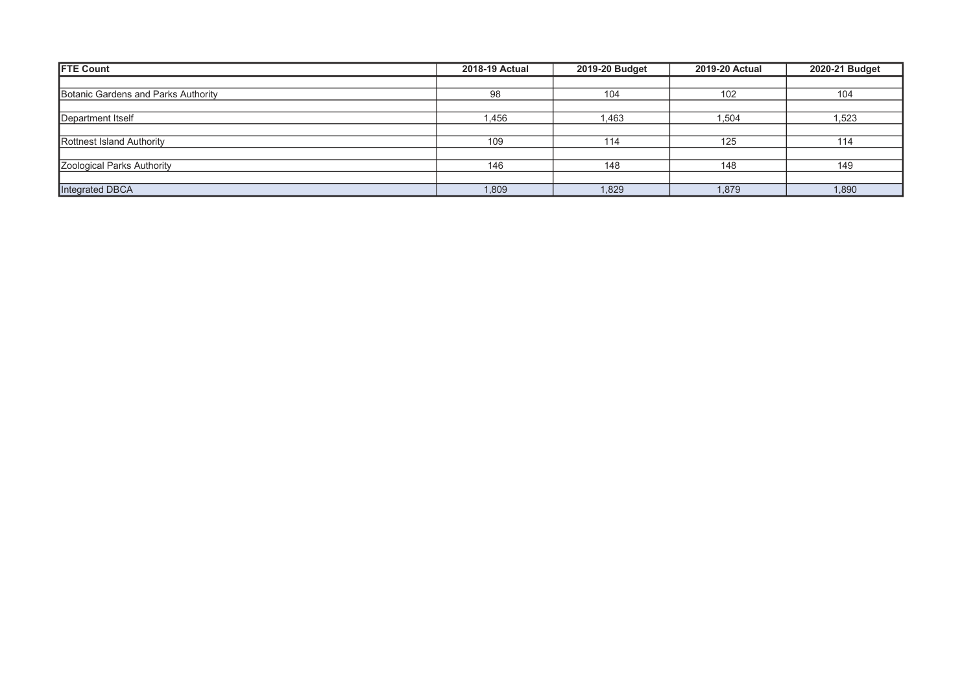| <b>FTE Count</b>                    | <b>2018-19 Actual</b> | 2019-20 Budget | <b>2019-20 Actual</b> | 2020-21 Budget |
|-------------------------------------|-----------------------|----------------|-----------------------|----------------|
|                                     |                       |                |                       |                |
| Botanic Gardens and Parks Authority | 98                    | 104            | 102                   | 104            |
|                                     |                       |                |                       |                |
| Department Itself                   | 1,456                 | 1,463          | 1,504                 | 1,523          |
|                                     |                       |                |                       |                |
| Rottnest Island Authority           | 109                   | 114            | 125                   | 114            |
|                                     |                       |                |                       |                |
| Zoological Parks Authority          | 146                   | 148            | 148                   | 149            |
|                                     |                       |                |                       |                |
| Integrated DBCA                     | 1,809                 | 1,829          | 1,879                 | 1,890          |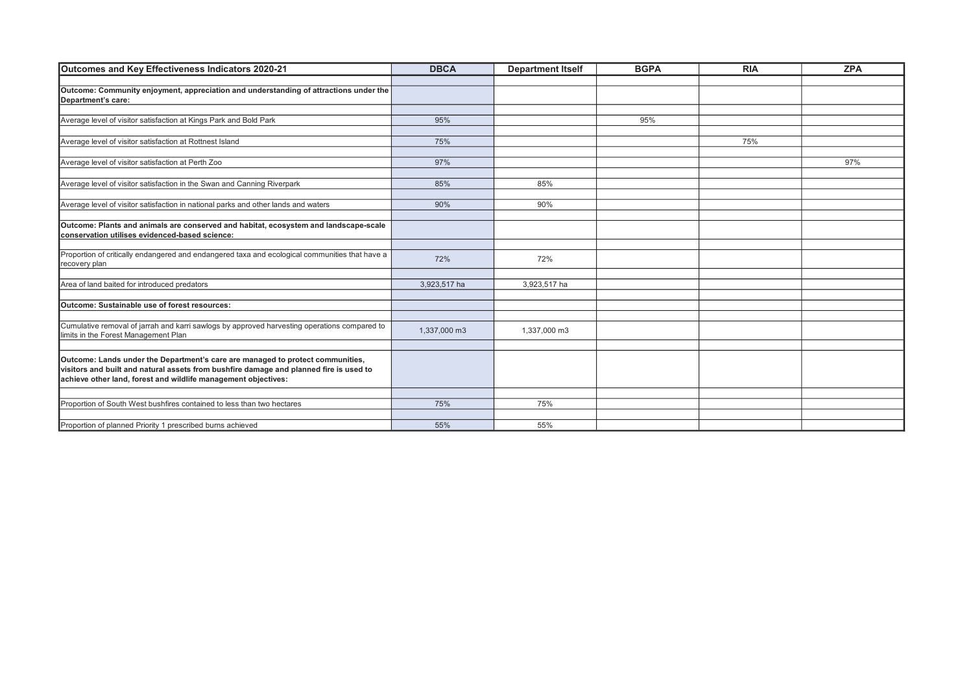| Outcomes and Key Effectiveness Indicators 2020-21                                                                                      | <b>DBCA</b>  | <b>Department Itself</b> | <b>BGPA</b> | <b>RIA</b> | <b>ZPA</b> |
|----------------------------------------------------------------------------------------------------------------------------------------|--------------|--------------------------|-------------|------------|------------|
|                                                                                                                                        |              |                          |             |            |            |
| Outcome: Community enjoyment, appreciation and understanding of attractions under the                                                  |              |                          |             |            |            |
| Department's care:                                                                                                                     |              |                          |             |            |            |
| Average level of visitor satisfaction at Kings Park and Bold Park                                                                      | 95%          |                          | 95%         |            |            |
|                                                                                                                                        |              |                          |             |            |            |
| Average level of visitor satisfaction at Rottnest Island                                                                               | 75%          |                          |             | 75%        |            |
|                                                                                                                                        |              |                          |             |            |            |
| Average level of visitor satisfaction at Perth Zoo                                                                                     | 97%          |                          |             |            | 97%        |
|                                                                                                                                        |              |                          |             |            |            |
| Average level of visitor satisfaction in the Swan and Canning Riverpark                                                                | 85%          | 85%                      |             |            |            |
|                                                                                                                                        |              |                          |             |            |            |
| Average level of visitor satisfaction in national parks and other lands and waters                                                     | 90%          | 90%                      |             |            |            |
|                                                                                                                                        |              |                          |             |            |            |
| Outcome: Plants and animals are conserved and habitat, ecosystem and landscape-scale<br>conservation utilises evidenced-based science: |              |                          |             |            |            |
|                                                                                                                                        |              |                          |             |            |            |
| Proportion of critically endangered and endangered taxa and ecological communities that have a<br>recovery plan                        | 72%          | 72%                      |             |            |            |
|                                                                                                                                        |              |                          |             |            |            |
| Area of land baited for introduced predators                                                                                           | 3,923,517 ha | 3,923,517 ha             |             |            |            |
|                                                                                                                                        |              |                          |             |            |            |
| Outcome: Sustainable use of forest resources:                                                                                          |              |                          |             |            |            |
| Cumulative removal of jarrah and karri sawlogs by approved harvesting operations compared to                                           |              |                          |             |            |            |
| limits in the Forest Management Plan                                                                                                   | 1,337,000 m3 | 1,337,000 m3             |             |            |            |
|                                                                                                                                        |              |                          |             |            |            |
| Outcome: Lands under the Department's care are managed to protect communities,                                                         |              |                          |             |            |            |
| visitors and built and natural assets from bushfire damage and planned fire is used to                                                 |              |                          |             |            |            |
| achieve other land, forest and wildlife management objectives:                                                                         |              |                          |             |            |            |
|                                                                                                                                        |              |                          |             |            |            |
| Proportion of South West bushfires contained to less than two hectares                                                                 | 75%          | 75%                      |             |            |            |
|                                                                                                                                        |              |                          |             |            |            |
| Proportion of planned Priority 1 prescribed burns achieved                                                                             | 55%          | 55%                      |             |            |            |